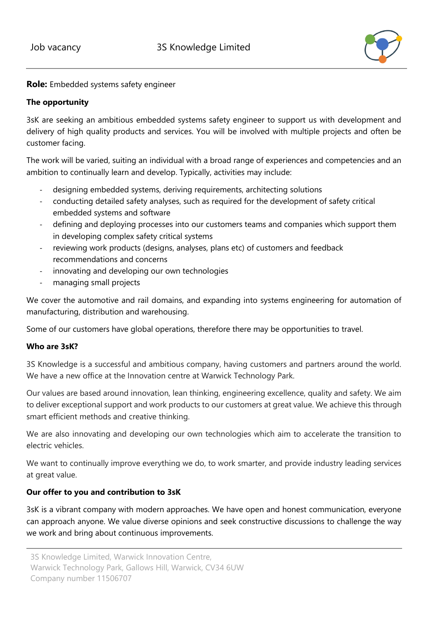

**Role:** Embedded systems safety engineer

## **The opportunity**

3sK are seeking an ambitious embedded systems safety engineer to support us with development and delivery of high quality products and services. You will be involved with multiple projects and often be customer facing.

The work will be varied, suiting an individual with a broad range of experiences and competencies and an ambition to continually learn and develop. Typically, activities may include:

- designing embedded systems, deriving requirements, architecting solutions
- conducting detailed safety analyses, such as required for the development of safety critical embedded systems and software
- defining and deploying processes into our customers teams and companies which support them in developing complex safety critical systems
- reviewing work products (designs, analyses, plans etc) of customers and feedback recommendations and concerns
- innovating and developing our own technologies
- managing small projects

We cover the automotive and rail domains, and expanding into systems engineering for automation of manufacturing, distribution and warehousing.

Some of our customers have global operations, therefore there may be opportunities to travel.

## **Who are 3sK?**

3S Knowledge is a successful and ambitious company, having customers and partners around the world. We have a new office at the Innovation centre at Warwick Technology Park.

Our values are based around innovation, lean thinking, engineering excellence, quality and safety. We aim to deliver exceptional support and work products to our customers at great value. We achieve this through smart efficient methods and creative thinking.

We are also innovating and developing our own technologies which aim to accelerate the transition to electric vehicles.

We want to continually improve everything we do, to work smarter, and provide industry leading services at great value.

## **Our offer to you and contribution to 3sK**

3sK is a vibrant company with modern approaches. We have open and honest communication, everyone can approach anyone. We value diverse opinions and seek constructive discussions to challenge the way we work and bring about continuous improvements.